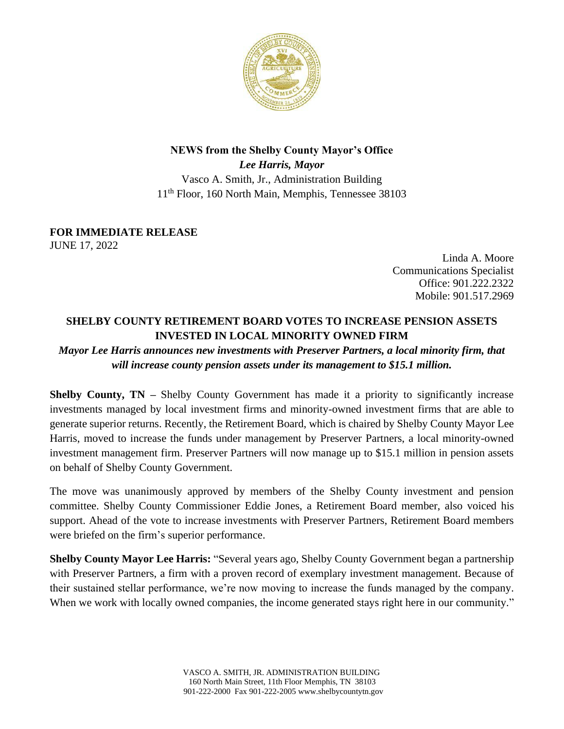

## **NEWS from the Shelby County Mayor's Office** *Lee Harris, Mayor* Vasco A. Smith, Jr., Administration Building 11th Floor, 160 North Main, Memphis, Tennessee 38103

## **FOR IMMEDIATE RELEASE**

JUNE 17, 2022

Linda A. Moore Communications Specialist Office: 901.222.2322 Mobile: 901.517.2969

## **SHELBY COUNTY RETIREMENT BOARD VOTES TO INCREASE PENSION ASSETS INVESTED IN LOCAL MINORITY OWNED FIRM**

## *Mayor Lee Harris announces new investments with Preserver Partners, a local minority firm, that will increase county pension assets under its management to \$15.1 million.*

**Shelby County, TN** – Shelby County Government has made it a priority to significantly increase investments managed by local investment firms and minority-owned investment firms that are able to generate superior returns. Recently, the Retirement Board, which is chaired by Shelby County Mayor Lee Harris, moved to increase the funds under management by Preserver Partners, a local minority-owned investment management firm. Preserver Partners will now manage up to \$15.1 million in pension assets on behalf of Shelby County Government.

The move was unanimously approved by members of the Shelby County investment and pension committee. Shelby County Commissioner Eddie Jones, a Retirement Board member, also voiced his support. Ahead of the vote to increase investments with Preserver Partners, Retirement Board members were briefed on the firm's superior performance.

**Shelby County Mayor Lee Harris:** "Several years ago, Shelby County Government began a partnership with Preserver Partners, a firm with a proven record of exemplary investment management. Because of their sustained stellar performance, we're now moving to increase the funds managed by the company. When we work with locally owned companies, the income generated stays right here in our community."